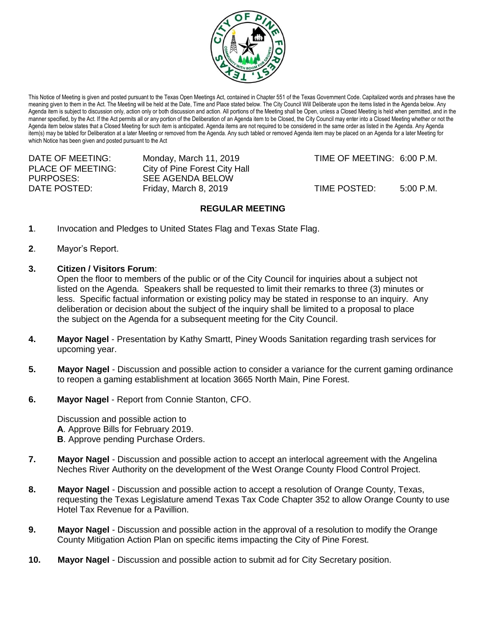

This Notice of Meeting is given and posted pursuant to the Texas Open Meetings Act, contained in Chapter 551 of the Texas Government Code. Capitalized words and phrases have the meaning given to them in the Act. The Meeting will be held at the Date, Time and Place stated below. The City Council Will Deliberate upon the items listed in the Agenda below. Any Agenda item is subject to discussion only, action only or both discussion and action. All portions of the Meeting shall be Open, unless a Closed Meeting is held when permitted, and in the manner specified, by the Act. If the Act permits all or any portion of the Deliberation of an Agenda item to be Closed, the City Council may enter into a Closed Meeting whether or not the Agenda item below states that a Closed Meeting for such item is anticipated. Agenda items are not required to be considered in the same order as listed in the Agenda. Any Agenda item(s) may be tabled for Deliberation at a later Meeting or removed from the Agenda. Any such tabled or removed Agenda item may be placed on an Agenda for a later Meeting for which Notice has been given and posted pursuant to the Act

| DATE OF MEETING:         | Monday, March 11, 2019        | TIME OF MEETING: 6:00 P.M. |             |
|--------------------------|-------------------------------|----------------------------|-------------|
| <b>PLACE OF MEETING:</b> | City of Pine Forest City Hall |                            |             |
| PURPOSES:                | SEE AGENDA BELOW              |                            |             |
| DATE POSTED:             | Friday, March 8, 2019         | TIME POSTED:               | $5:00$ P.M. |

## **REGULAR MEETING**

- **1**. Invocation and Pledges to United States Flag and Texas State Flag.
- **2**. Mayor's Report.
- **3. Citizen / Visitors Forum**:

Open the floor to members of the public or of the City Council for inquiries about a subject not listed on the Agenda. Speakers shall be requested to limit their remarks to three (3) minutes or less. Specific factual information or existing policy may be stated in response to an inquiry. Any deliberation or decision about the subject of the inquiry shall be limited to a proposal to place the subject on the Agenda for a subsequent meeting for the City Council.

- **4. Mayor Nagel** Presentation by Kathy Smartt, Piney Woods Sanitation regarding trash services for upcoming year.
- **5. Mayor Nagel** Discussion and possible action to consider a variance for the current gaming ordinance to reopen a gaming establishment at location 3665 North Main, Pine Forest.
- **6. Mayor Nagel** Report from Connie Stanton, CFO.

Discussion and possible action to **A**. Approve Bills for February 2019. **B**. Approve pending Purchase Orders.

- **7. Mayor Nagel** Discussion and possible action to accept an interlocal agreement with the Angelina Neches River Authority on the development of the West Orange County Flood Control Project.
- **8. Mayor Nagel** Discussion and possible action to accept a resolution of Orange County, Texas, requesting the Texas Legislature amend Texas Tax Code Chapter 352 to allow Orange County to use Hotel Tax Revenue for a Pavillion.
- **9. Mayor Nagel** Discussion and possible action in the approval of a resolution to modify the Orange County Mitigation Action Plan on specific items impacting the City of Pine Forest.
- **10. Mayor Nagel** Discussion and possible action to submit ad for City Secretary position.